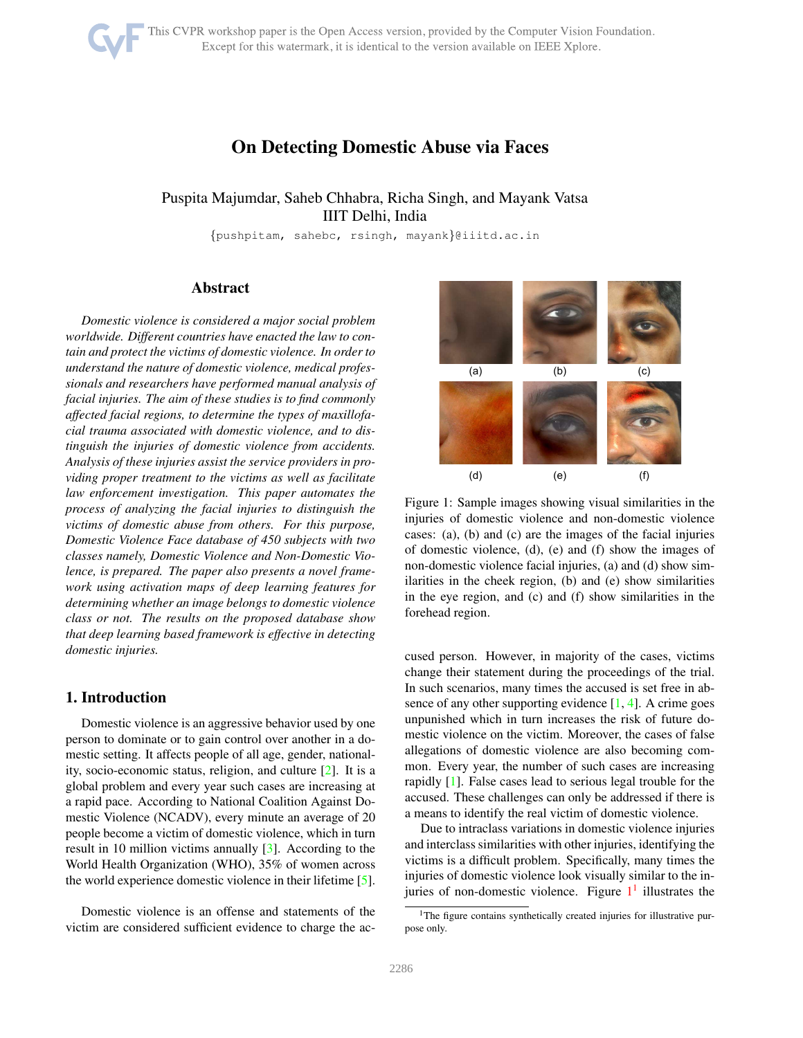# On Detecting Domestic Abuse via Faces

# <span id="page-0-2"></span>Puspita Majumdar, Saheb Chhabra, Richa Singh, and Mayank Vatsa IIIT Delhi, India

{pushpitam, sahebc, rsingh, mayank}@iiitd.ac.in

# Abstract

*Domestic violence is considered a major social problem worldwide. Different countries have enacted the law to contain and protect the victims of domestic violence. In order to understand the nature of domestic violence, medical professionals and researchers have performed manual analysis of facial injuries. The aim of these studies is to find commonly affected facial regions, to determine the types of maxillofacial trauma associated with domestic violence, and to distinguish the injuries of domestic violence from accidents. Analysis of these injuries assist the service providers in providing proper treatment to the victims as well as facilitate law enforcement investigation. This paper automates the process of analyzing the facial injuries to distinguish the victims of domestic abuse from others. For this purpose, Domestic Violence Face database of 450 subjects with two classes namely, Domestic Violence and Non-Domestic Violence, is prepared. The paper also presents a novel framework using activation maps of deep learning features for determining whether an image belongs to domestic violence class or not. The results on the proposed database show that deep learning based framework is effective in detecting domestic injuries.*

# 1. Introduction

Domestic violence is an aggressive behavior used by one person to dominate or to gain control over another in a domestic setting. It affects people of all age, gender, nationality, socio-economic status, religion, and culture [\[2\]](#page-5-0). It is a global problem and every year such cases are increasing at a rapid pace. According to National Coalition Against Domestic Violence (NCADV), every minute an average of 20 people become a victim of domestic violence, which in turn result in 10 million victims annually [\[3\]](#page-5-1). According to the World Health Organization (WHO), 35% of women across the world experience domestic violence in their lifetime [\[5\]](#page-5-2).

Domestic violence is an offense and statements of the victim are considered sufficient evidence to charge the ac-

<span id="page-0-0"></span>

Figure 1: Sample images showing visual similarities in the injuries of domestic violence and non-domestic violence cases: (a), (b) and (c) are the images of the facial injuries of domestic violence, (d), (e) and (f) show the images of non-domestic violence facial injuries, (a) and (d) show similarities in the cheek region, (b) and (e) show similarities in the eye region, and (c) and (f) show similarities in the forehead region.

cused person. However, in majority of the cases, victims change their statement during the proceedings of the trial. In such scenarios, many times the accused is set free in absence of any other supporting evidence  $[1, 4]$  $[1, 4]$  $[1, 4]$ . A crime goes unpunished which in turn increases the risk of future domestic violence on the victim. Moreover, the cases of false allegations of domestic violence are also becoming common. Every year, the number of such cases are increasing rapidly [\[1\]](#page-5-3). False cases lead to serious legal trouble for the accused. These challenges can only be addressed if there is a means to identify the real victim of domestic violence.

Due to intraclass variations in domestic violence injuries and interclass similarities with other injuries, identifying the victims is a difficult problem. Specifically, many times the injuries of domestic violence look visually similar to the injuries of non-domestic violence. Figure  $1<sup>1</sup>$  $1<sup>1</sup>$  illustrates the

<span id="page-0-1"></span><sup>&</sup>lt;sup>1</sup>The figure contains synthetically created injuries for illustrative purpose only.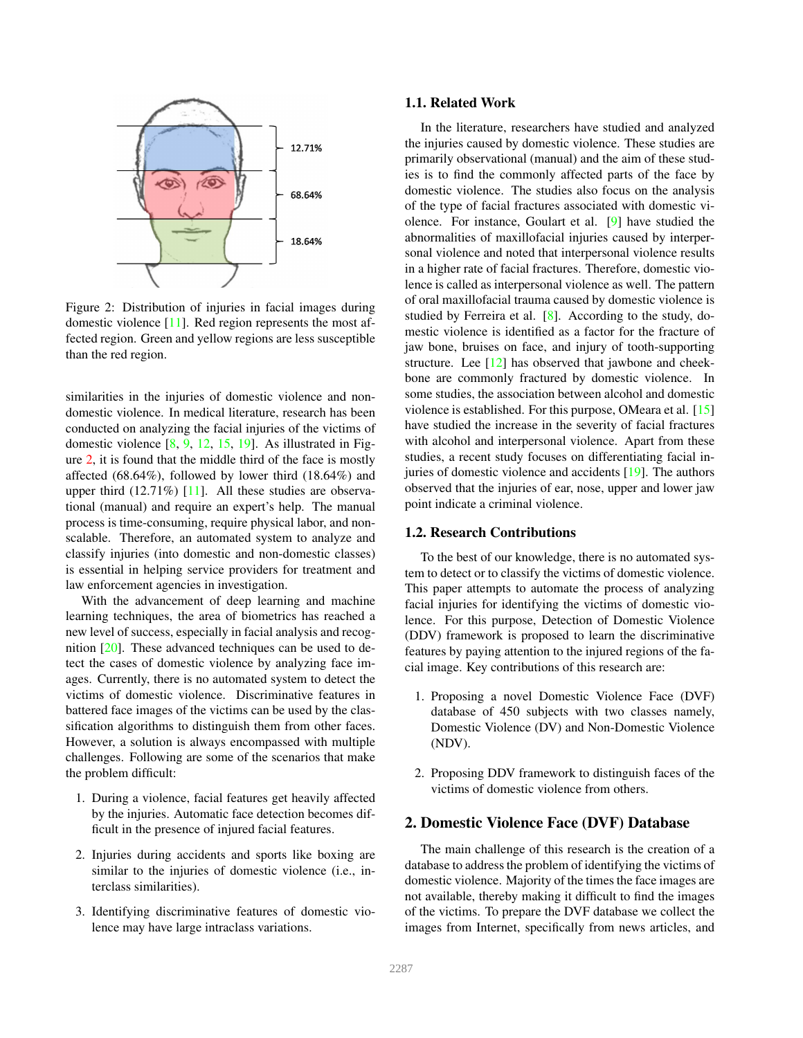<span id="page-1-1"></span><span id="page-1-0"></span>

Figure 2: Distribution of injuries in facial images during domestic violence [\[11\]](#page-5-5). Red region represents the most affected region. Green and yellow regions are less susceptible than the red region.

similarities in the injuries of domestic violence and nondomestic violence. In medical literature, research has been conducted on analyzing the facial injuries of the victims of domestic violence  $[8, 9, 12, 15, 19]$  $[8, 9, 12, 15, 19]$  $[8, 9, 12, 15, 19]$  $[8, 9, 12, 15, 19]$  $[8, 9, 12, 15, 19]$  $[8, 9, 12, 15, 19]$  $[8, 9, 12, 15, 19]$  $[8, 9, 12, 15, 19]$ . As illustrated in Figure [2,](#page-1-0) it is found that the middle third of the face is mostly affected (68.64%), followed by lower third (18.64%) and upper third  $(12.71\%)$  [\[11\]](#page-5-5). All these studies are observational (manual) and require an expert's help. The manual process is time-consuming, require physical labor, and nonscalable. Therefore, an automated system to analyze and classify injuries (into domestic and non-domestic classes) is essential in helping service providers for treatment and law enforcement agencies in investigation.

With the advancement of deep learning and machine learning techniques, the area of biometrics has reached a new level of success, especially in facial analysis and recognition [\[20\]](#page-5-11). These advanced techniques can be used to detect the cases of domestic violence by analyzing face images. Currently, there is no automated system to detect the victims of domestic violence. Discriminative features in battered face images of the victims can be used by the classification algorithms to distinguish them from other faces. However, a solution is always encompassed with multiple challenges. Following are some of the scenarios that make the problem difficult:

- 1. During a violence, facial features get heavily affected by the injuries. Automatic face detection becomes difficult in the presence of injured facial features.
- 2. Injuries during accidents and sports like boxing are similar to the injuries of domestic violence (i.e., interclass similarities).
- 3. Identifying discriminative features of domestic violence may have large intraclass variations.

#### 1.1. Related Work

In the literature, researchers have studied and analyzed the injuries caused by domestic violence. These studies are primarily observational (manual) and the aim of these studies is to find the commonly affected parts of the face by domestic violence. The studies also focus on the analysis of the type of facial fractures associated with domestic violence. For instance, Goulart et al. [\[9\]](#page-5-7) have studied the abnormalities of maxillofacial injuries caused by interpersonal violence and noted that interpersonal violence results in a higher rate of facial fractures. Therefore, domestic violence is called as interpersonal violence as well. The pattern of oral maxillofacial trauma caused by domestic violence is studied by Ferreira et al. [\[8\]](#page-5-6). According to the study, domestic violence is identified as a factor for the fracture of jaw bone, bruises on face, and injury of tooth-supporting structure. Lee [\[12\]](#page-5-8) has observed that jawbone and cheekbone are commonly fractured by domestic violence. In some studies, the association between alcohol and domestic violence is established. For this purpose, OMeara et al. [\[15\]](#page-5-9) have studied the increase in the severity of facial fractures with alcohol and interpersonal violence. Apart from these studies, a recent study focuses on differentiating facial injuries of domestic violence and accidents [\[19\]](#page-5-10). The authors observed that the injuries of ear, nose, upper and lower jaw point indicate a criminal violence.

#### 1.2. Research Contributions

To the best of our knowledge, there is no automated system to detect or to classify the victims of domestic violence. This paper attempts to automate the process of analyzing facial injuries for identifying the victims of domestic violence. For this purpose, Detection of Domestic Violence (DDV) framework is proposed to learn the discriminative features by paying attention to the injured regions of the facial image. Key contributions of this research are:

- 1. Proposing a novel Domestic Violence Face (DVF) database of 450 subjects with two classes namely, Domestic Violence (DV) and Non-Domestic Violence (NDV).
- 2. Proposing DDV framework to distinguish faces of the victims of domestic violence from others.

#### 2. Domestic Violence Face (DVF) Database

The main challenge of this research is the creation of a database to address the problem of identifying the victims of domestic violence. Majority of the times the face images are not available, thereby making it difficult to find the images of the victims. To prepare the DVF database we collect the images from Internet, specifically from news articles, and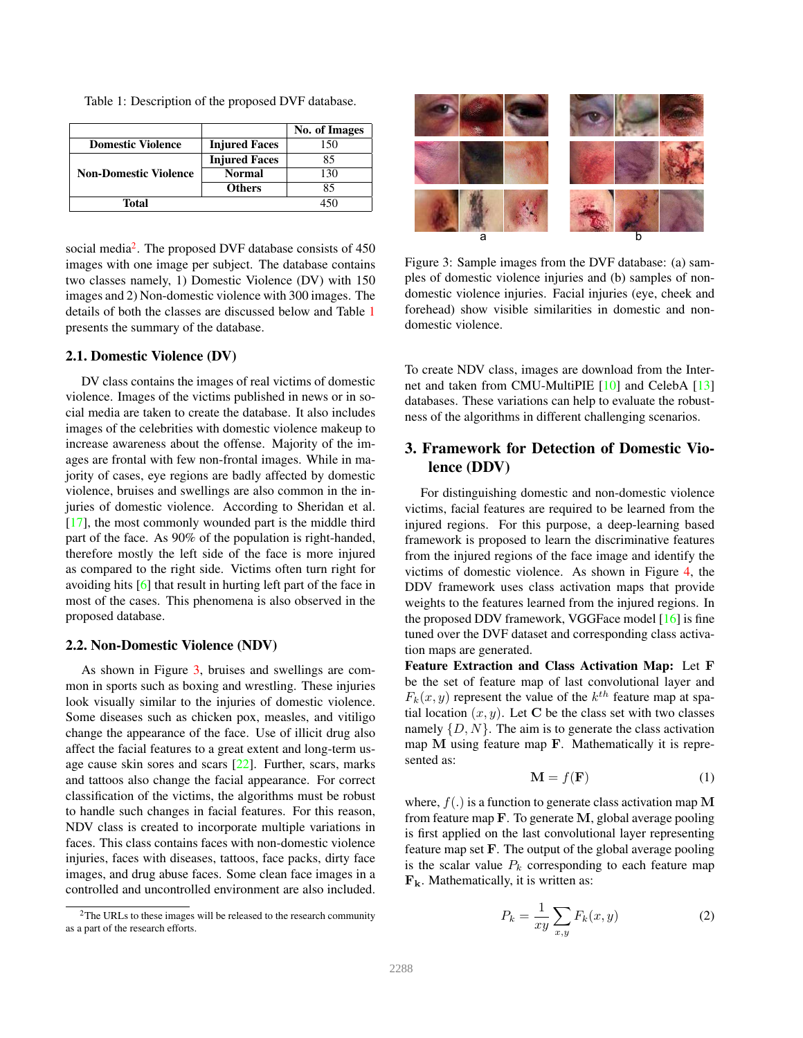<span id="page-2-3"></span><span id="page-2-1"></span>Table 1: Description of the proposed DVF database.

|                              |                      | No. of Images |
|------------------------------|----------------------|---------------|
| <b>Domestic Violence</b>     | <b>Injured Faces</b> | 150           |
|                              | <b>Injured Faces</b> | 85            |
| <b>Non-Domestic Violence</b> | <b>Normal</b>        | 130           |
|                              | <b>Others</b>        | 85            |
| Total                        |                      |               |

social media<sup>[2](#page-2-0)</sup>. The proposed DVF database consists of 450 images with one image per subject. The database contains two classes namely, 1) Domestic Violence (DV) with 150 images and 2) Non-domestic violence with 300 images. The details of both the classes are discussed below and Table [1](#page-2-1) presents the summary of the database.

#### 2.1. Domestic Violence (DV)

DV class contains the images of real victims of domestic violence. Images of the victims published in news or in social media are taken to create the database. It also includes images of the celebrities with domestic violence makeup to increase awareness about the offense. Majority of the images are frontal with few non-frontal images. While in majority of cases, eye regions are badly affected by domestic violence, bruises and swellings are also common in the injuries of domestic violence. According to Sheridan et al. [\[17\]](#page-5-12), the most commonly wounded part is the middle third part of the face. As 90% of the population is right-handed, therefore mostly the left side of the face is more injured as compared to the right side. Victims often turn right for avoiding hits [\[6\]](#page-5-13) that result in hurting left part of the face in most of the cases. This phenomena is also observed in the proposed database.

#### 2.2. Non-Domestic Violence (NDV)

As shown in Figure [3,](#page-2-2) bruises and swellings are common in sports such as boxing and wrestling. These injuries look visually similar to the injuries of domestic violence. Some diseases such as chicken pox, measles, and vitiligo change the appearance of the face. Use of illicit drug also affect the facial features to a great extent and long-term usage cause skin sores and scars [\[22\]](#page-6-0). Further, scars, marks and tattoos also change the facial appearance. For correct classification of the victims, the algorithms must be robust to handle such changes in facial features. For this reason, NDV class is created to incorporate multiple variations in faces. This class contains faces with non-domestic violence injuries, faces with diseases, tattoos, face packs, dirty face images, and drug abuse faces. Some clean face images in a controlled and uncontrolled environment are also included.

<span id="page-2-2"></span>

Figure 3: Sample images from the DVF database: (a) samples of domestic violence injuries and (b) samples of nondomestic violence injuries. Facial injuries (eye, cheek and forehead) show visible similarities in domestic and nondomestic violence.

To create NDV class, images are download from the Internet and taken from CMU-MultiPIE [\[10\]](#page-5-14) and CelebA [\[13\]](#page-5-15) databases. These variations can help to evaluate the robustness of the algorithms in different challenging scenarios.

# 3. Framework for Detection of Domestic Violence (DDV)

For distinguishing domestic and non-domestic violence victims, facial features are required to be learned from the injured regions. For this purpose, a deep-learning based framework is proposed to learn the discriminative features from the injured regions of the face image and identify the victims of domestic violence. As shown in Figure [4,](#page-3-0) the DDV framework uses class activation maps that provide weights to the features learned from the injured regions. In the proposed DDV framework, VGGFace model [\[16\]](#page-5-16) is fine tuned over the DVF dataset and corresponding class activation maps are generated.

Feature Extraction and Class Activation Map: Let F be the set of feature map of last convolutional layer and  $F_k(x, y)$  represent the value of the  $k^{th}$  feature map at spatial location  $(x, y)$ . Let C be the class set with two classes namely  $\{D, N\}$ . The aim is to generate the class activation map M using feature map F. Mathematically it is represented as:

$$
\mathbf{M} = f(\mathbf{F}) \tag{1}
$$

where,  $f(.)$  is a function to generate class activation map M from feature map  $\bf{F}$ . To generate  $\bf{M}$ , global average pooling is first applied on the last convolutional layer representing feature map set F. The output of the global average pooling is the scalar value  $P_k$  corresponding to each feature map  $\mathbf{F}_k$ . Mathematically, it is written as:

$$
P_k = \frac{1}{xy} \sum_{x,y} F_k(x,y) \tag{2}
$$

<span id="page-2-0"></span><sup>&</sup>lt;sup>2</sup>The URLs to these images will be released to the research community as a part of the research efforts.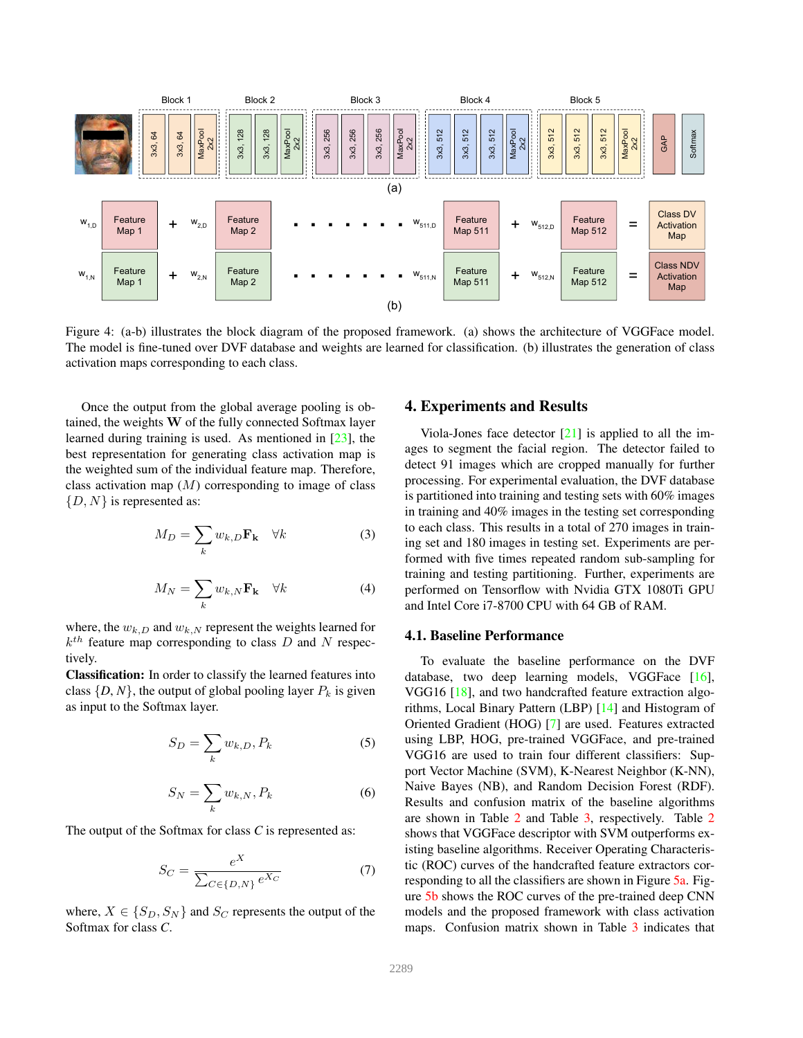<span id="page-3-1"></span><span id="page-3-0"></span>

Figure 4: (a-b) illustrates the block diagram of the proposed framework. (a) shows the architecture of VGGFace model. The model is fine-tuned over DVF database and weights are learned for classification. (b) illustrates the generation of class activation maps corresponding to each class.

Once the output from the global average pooling is obtained, the weights W of the fully connected Softmax layer learned during training is used. As mentioned in [\[23\]](#page-6-1), the best representation for generating class activation map is the weighted sum of the individual feature map. Therefore, class activation map  $(M)$  corresponding to image of class  $\{D, N\}$  is represented as:

$$
M_D = \sum_k w_{k,D} \mathbf{F_k} \quad \forall k \tag{3}
$$

$$
M_N = \sum_k w_{k,N} \mathbf{F_k} \quad \forall k \tag{4}
$$

where, the  $w_{k,D}$  and  $w_{k,N}$  represent the weights learned for  $k^{th}$  feature map corresponding to class D and N respectively.

Classification: In order to classify the learned features into class  $\{D, N\}$ , the output of global pooling layer  $P_k$  is given as input to the Softmax layer.

$$
S_D = \sum_k w_{k,D}, P_k \tag{5}
$$

$$
S_N = \sum_k w_{k,N}, P_k \tag{6}
$$

The output of the Softmax for class *C* is represented as:

$$
S_C = \frac{e^X}{\sum_{C \in \{D, N\}} e^{X_C}} \tag{7}
$$

where,  $X \in \{S_D, S_N\}$  and  $S_C$  represents the output of the Softmax for class *C*.

### 4. Experiments and Results

Viola-Jones face detector  $[21]$  is applied to all the images to segment the facial region. The detector failed to detect 91 images which are cropped manually for further processing. For experimental evaluation, the DVF database is partitioned into training and testing sets with 60% images in training and 40% images in the testing set corresponding to each class. This results in a total of 270 images in training set and 180 images in testing set. Experiments are performed with five times repeated random sub-sampling for training and testing partitioning. Further, experiments are performed on Tensorflow with Nvidia GTX 1080Ti GPU and Intel Core i7-8700 CPU with 64 GB of RAM.

#### 4.1. Baseline Performance

To evaluate the baseline performance on the DVF database, two deep learning models, VGGFace [\[16\]](#page-5-16), VGG16 [\[18\]](#page-5-18), and two handcrafted feature extraction algorithms, Local Binary Pattern (LBP) [\[14\]](#page-5-19) and Histogram of Oriented Gradient (HOG) [\[7\]](#page-5-20) are used. Features extracted using LBP, HOG, pre-trained VGGFace, and pre-trained VGG16 are used to train four different classifiers: Support Vector Machine (SVM), K-Nearest Neighbor (K-NN), Naive Bayes (NB), and Random Decision Forest (RDF). Results and confusion matrix of the baseline algorithms are shown in Table [2](#page-4-0) and Table [3,](#page-5-21) respectively. Table [2](#page-4-0) shows that VGGFace descriptor with SVM outperforms existing baseline algorithms. Receiver Operating Characteristic (ROC) curves of the handcrafted feature extractors corresponding to all the classifiers are shown in Figure [5a.](#page-4-1) Figure [5b](#page-4-1) shows the ROC curves of the pre-trained deep CNN models and the proposed framework with class activation maps. Confusion matrix shown in Table [3](#page-5-21) indicates that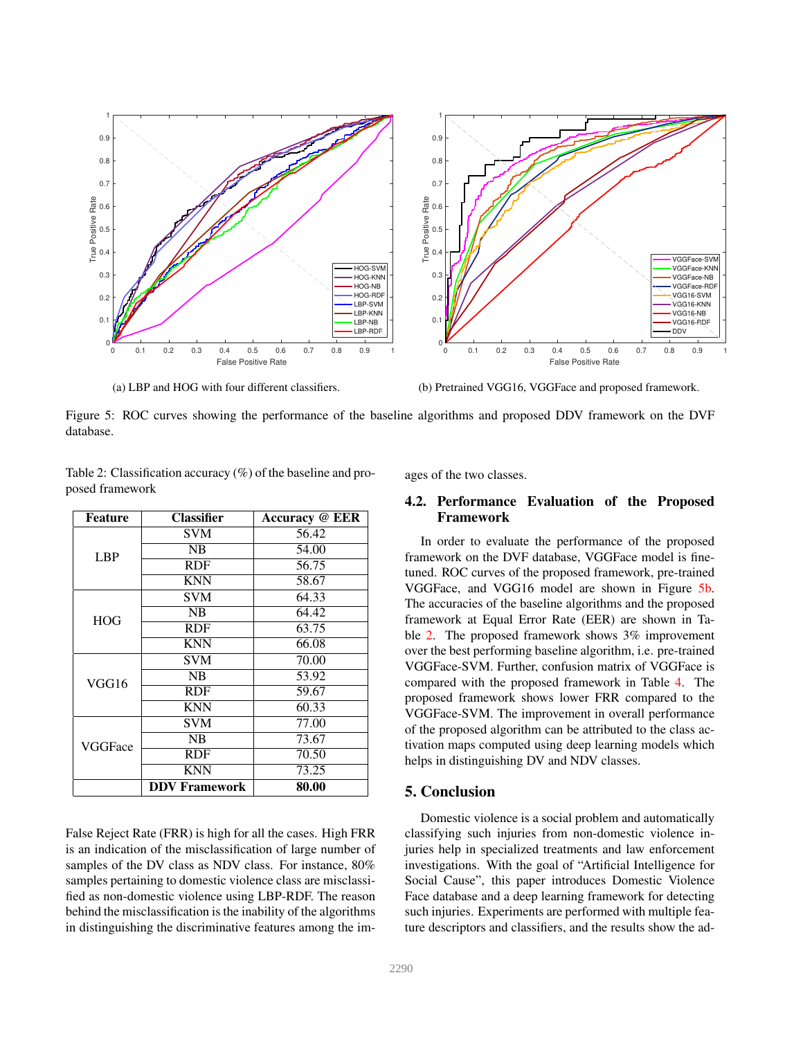<span id="page-4-1"></span>

(a) LBP and HOG with four different classifiers.

(b) Pretrained VGG16, VGGFace and proposed framework.

Figure 5: ROC curves showing the performance of the baseline algorithms and proposed DDV framework on the DVF database.

| <b>Feature</b> | <b>Classifier</b>    | <b>Accuracy @ EER</b> |
|----------------|----------------------|-----------------------|
| <b>LBP</b>     | <b>SVM</b>           | 56.42                 |
|                | NB                   | 54.00                 |
|                | <b>RDF</b>           | 56.75                 |
|                | <b>KNN</b>           | 58.67                 |
| <b>HOG</b>     | <b>SVM</b>           | 64.33                 |
|                | NB                   | 64.42                 |
|                | RDF                  | 63.75                 |
|                | <b>KNN</b>           | 66.08                 |
| VGG16          | <b>SVM</b>           | 70.00                 |
|                | NB                   | 53.92                 |
|                | <b>RDF</b>           | 59.67                 |
|                | <b>KNN</b>           | 60.33                 |
| VGGFace        | <b>SVM</b>           | 77.00                 |
|                | NB                   | 73.67                 |
|                | <b>RDF</b>           | 70.50                 |
|                | <b>KNN</b>           | 73.25                 |
|                | <b>DDV Framework</b> | 80.00                 |

<span id="page-4-0"></span>Table 2: Classification accuracy (%) of the baseline and proposed framework

False Reject Rate (FRR) is high for all the cases. High FRR is an indication of the misclassification of large number of samples of the DV class as NDV class. For instance, 80% samples pertaining to domestic violence class are misclassified as non-domestic violence using LBP-RDF. The reason behind the misclassification is the inability of the algorithms in distinguishing the discriminative features among the images of the two classes.

# 4.2. Performance Evaluation of the Proposed Framework

In order to evaluate the performance of the proposed framework on the DVF database, VGGFace model is finetuned. ROC curves of the proposed framework, pre-trained VGGFace, and VGG16 model are shown in Figure [5b.](#page-4-1) The accuracies of the baseline algorithms and the proposed framework at Equal Error Rate (EER) are shown in Table [2.](#page-4-0) The proposed framework shows 3% improvement over the best performing baseline algorithm, i.e. pre-trained VGGFace-SVM. Further, confusion matrix of VGGFace is compared with the proposed framework in Table [4.](#page-5-22) The proposed framework shows lower FRR compared to the VGGFace-SVM. The improvement in overall performance of the proposed algorithm can be attributed to the class activation maps computed using deep learning models which helps in distinguishing DV and NDV classes.

## 5. Conclusion

Domestic violence is a social problem and automatically classifying such injuries from non-domestic violence injuries help in specialized treatments and law enforcement investigations. With the goal of "Artificial Intelligence for Social Cause", this paper introduces Domestic Violence Face database and a deep learning framework for detecting such injuries. Experiments are performed with multiple feature descriptors and classifiers, and the results show the ad-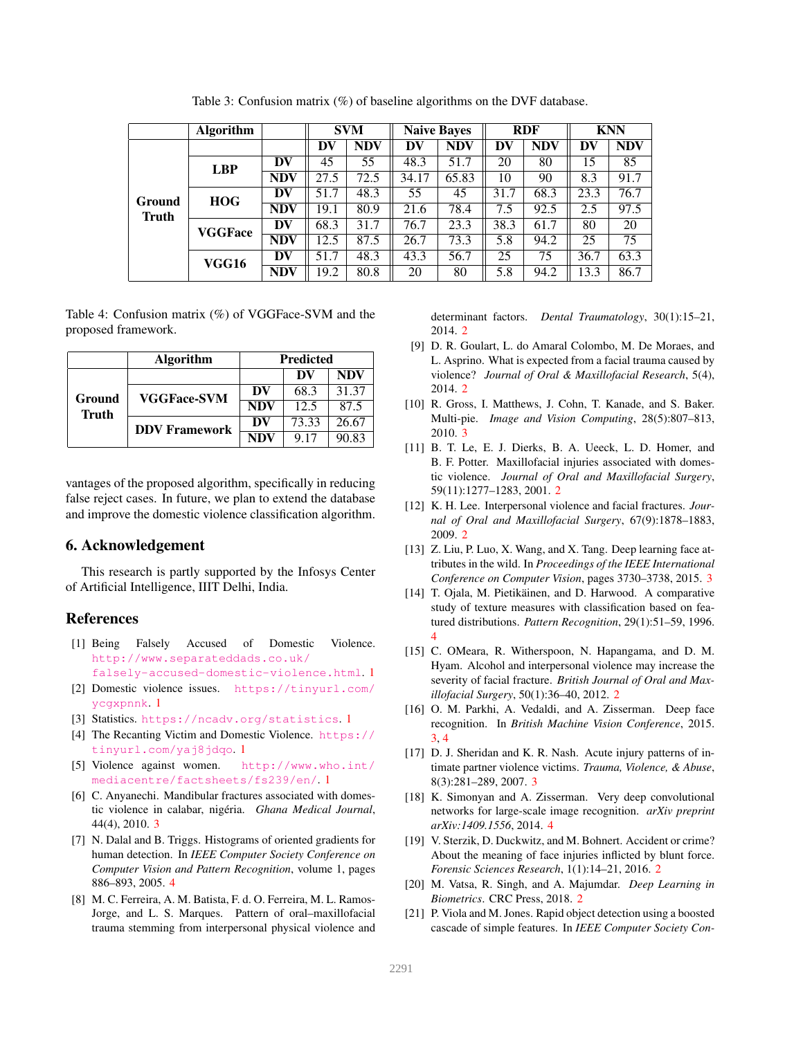<span id="page-5-21"></span>

|                               | <b>Algorithm</b> |            |      | <b>SVM</b> |       | <b>Naive Bayes</b> |      | <b>RDF</b> |      | <b>KNN</b> |
|-------------------------------|------------------|------------|------|------------|-------|--------------------|------|------------|------|------------|
| <b>Ground</b><br><b>Truth</b> |                  |            | DV   | <b>NDV</b> | DV    | <b>NDV</b>         | DV   | <b>NDV</b> | DV   | <b>NDV</b> |
|                               | <b>LBP</b>       | DV         | 45   | 55         | 48.3  | 51.7               | 20   | 80         | 15   | 85         |
|                               |                  | <b>NDV</b> | 27.5 | 72.5       | 34.17 | 65.83              | 10   | 90         | 8.3  | 91.7       |
|                               | <b>HOG</b>       | DV         | 51.7 | 48.3       | 55    | 45                 | 31.7 | 68.3       | 23.3 | 76.7       |
|                               |                  | <b>NDV</b> | 19.1 | 80.9       | 21.6  | 78.4               | 7.5  | 92.5       | 2.5  | 97.5       |
|                               | <b>VGGFace</b>   | DV         | 68.3 | 31.7       | 76.7  | 23.3               | 38.3 | 61.7       | 80   | 20         |
|                               |                  | <b>NDV</b> | 12.5 | 87.5       | 26.7  | 73.3               | 5.8  | 94.2       | 25   | 75         |
|                               | VGG16            | DV         | 51.7 | 48.3       | 43.3  | 56.7               | 25   | 75         | 36.7 | 63.3       |
|                               |                  | <b>NDV</b> | 19.2 | 80.8       | 20    | 80                 | 5.8  | 94.2       | 13.3 | 86.7       |

Table 3: Confusion matrix (%) of baseline algorithms on the DVF database.

<span id="page-5-22"></span>Table 4: Confusion matrix (%) of VGGFace-SVM and the proposed framework.

|                 | <b>Algorithm</b>     |            | <b>Predicted</b> |            |  |  |  |
|-----------------|----------------------|------------|------------------|------------|--|--|--|
| Ground<br>Truth |                      |            | DV               | <b>NDV</b> |  |  |  |
|                 | <b>VGGFace-SVM</b>   | DV         | 68.3             | 31.37      |  |  |  |
|                 |                      | <b>NDV</b> | 12.5             | 87.5       |  |  |  |
|                 | <b>DDV</b> Framework | DV         | 73.33            | 26.67      |  |  |  |
|                 |                      | NDV        | 9.17             | 90.83      |  |  |  |

vantages of the proposed algorithm, specifically in reducing false reject cases. In future, we plan to extend the database and improve the domestic violence classification algorithm.

## 6. Acknowledgement

This research is partly supported by the Infosys Center of Artificial Intelligence, IIIT Delhi, India.

# References

- <span id="page-5-3"></span>[1] Being Falsely Accused of Domestic Violence. [http://www.separateddads.co.uk/](http://www.separateddads.co.uk/falsely-accused-domestic-violence.html)
- <span id="page-5-0"></span>[falsely-accused-domestic-violence.html](http://www.separateddads.co.uk/falsely-accused-domestic-violence.html). [1](#page-0-2) [2] Domestic violence issues. [https://tinyurl.com/](https://tinyurl.com/ycgxpnnk) [ycgxpnnk](https://tinyurl.com/ycgxpnnk). [1](#page-0-2)
- <span id="page-5-1"></span>[3] Statistics. <https://ncadv.org/statistics>. [1](#page-0-2)
- <span id="page-5-4"></span>[4] The Recanting Victim and Domestic Violence. [https://](https://tinyurl.com/yaj8jdqo) [tinyurl.com/yaj8jdqo](https://tinyurl.com/yaj8jdqo). [1](#page-0-2)
- <span id="page-5-2"></span>[5] Violence against women. [http://www.who.int/](http://www.who.int/mediacentre/factsheets/fs239/en/) [mediacentre/factsheets/fs239/en/](http://www.who.int/mediacentre/factsheets/fs239/en/). [1](#page-0-2)
- <span id="page-5-13"></span>[6] C. Anyanechi. Mandibular fractures associated with domestic violence in calabar, nigéria. *Ghana Medical Journal*, 44(4), 2010. [3](#page-2-3)
- <span id="page-5-20"></span>[7] N. Dalal and B. Triggs. Histograms of oriented gradients for human detection. In *IEEE Computer Society Conference on Computer Vision and Pattern Recognition*, volume 1, pages 886–893, 2005. [4](#page-3-1)
- <span id="page-5-6"></span>[8] M. C. Ferreira, A. M. Batista, F. d. O. Ferreira, M. L. Ramos-Jorge, and L. S. Marques. Pattern of oral–maxillofacial trauma stemming from interpersonal physical violence and

determinant factors. *Dental Traumatology*, 30(1):15–21, 2014. [2](#page-1-1)

- <span id="page-5-7"></span>[9] D. R. Goulart, L. do Amaral Colombo, M. De Moraes, and L. Asprino. What is expected from a facial trauma caused by violence? *Journal of Oral & Maxillofacial Research*, 5(4), 2014. [2](#page-1-1)
- <span id="page-5-14"></span>[10] R. Gross, I. Matthews, J. Cohn, T. Kanade, and S. Baker. Multi-pie. *Image and Vision Computing*, 28(5):807–813, 2010. [3](#page-2-3)
- <span id="page-5-5"></span>[11] B. T. Le, E. J. Dierks, B. A. Ueeck, L. D. Homer, and B. F. Potter. Maxillofacial injuries associated with domestic violence. *Journal of Oral and Maxillofacial Surgery*, 59(11):1277–1283, 2001. [2](#page-1-1)
- <span id="page-5-8"></span>[12] K. H. Lee. Interpersonal violence and facial fractures. *Journal of Oral and Maxillofacial Surgery*, 67(9):1878–1883, 2009. [2](#page-1-1)
- <span id="page-5-15"></span>[13] Z. Liu, P. Luo, X. Wang, and X. Tang. Deep learning face attributes in the wild. In *Proceedings of the IEEE International Conference on Computer Vision*, pages 3730–3738, 2015. [3](#page-2-3)
- <span id="page-5-19"></span>[14] T. Ojala, M. Pietikäinen, and D. Harwood. A comparative study of texture measures with classification based on featured distributions. *Pattern Recognition*, 29(1):51–59, 1996. [4](#page-3-1)
- <span id="page-5-9"></span>[15] C. OMeara, R. Witherspoon, N. Hapangama, and D. M. Hyam. Alcohol and interpersonal violence may increase the severity of facial fracture. *British Journal of Oral and Maxillofacial Surgery*, 50(1):36–40, 2012. [2](#page-1-1)
- <span id="page-5-16"></span>[16] O. M. Parkhi, A. Vedaldi, and A. Zisserman. Deep face recognition. In *British Machine Vision Conference*, 2015. [3,](#page-2-3) [4](#page-3-1)
- <span id="page-5-12"></span>[17] D. J. Sheridan and K. R. Nash. Acute injury patterns of intimate partner violence victims. *Trauma, Violence, & Abuse*, 8(3):281–289, 2007. [3](#page-2-3)
- <span id="page-5-18"></span>[18] K. Simonyan and A. Zisserman. Very deep convolutional networks for large-scale image recognition. *arXiv preprint arXiv:1409.1556*, 2014. [4](#page-3-1)
- <span id="page-5-10"></span>[19] V. Sterzik, D. Duckwitz, and M. Bohnert. Accident or crime? About the meaning of face injuries inflicted by blunt force. *Forensic Sciences Research*, 1(1):14–21, 2016. [2](#page-1-1)
- <span id="page-5-11"></span>[20] M. Vatsa, R. Singh, and A. Majumdar. *Deep Learning in Biometrics*. CRC Press, 2018. [2](#page-1-1)
- <span id="page-5-17"></span>[21] P. Viola and M. Jones. Rapid object detection using a boosted cascade of simple features. In *IEEE Computer Society Con-*